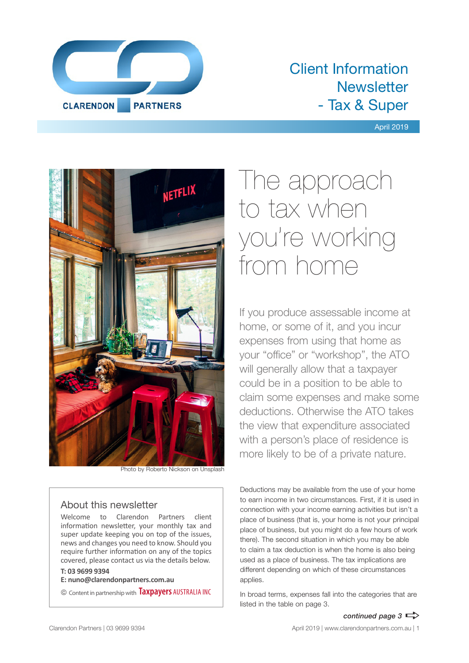

## Client Information **Newsletter** - Tax & Super

#### April 2019



Photo by Roberto Nickson on Unsplash

#### About this newsletter

Welcome to Clarendon Partners client information newsletter, your monthly tax and super update keeping you on top of the issues, news and changes you need to know. Should you require further information on any of the topics covered, please contact us via the details below.

#### **T: 03 9699 9394**

**E: nuno@clarendonpartners.com.au**

© Content in partnership with **Taxpayers** AUSTRALIA INC

# The approach to tax when you're working from home

If you produce assessable income at home, or some of it, and you incur expenses from using that home as your "office" or "workshop", the ATO will generally allow that a taxpayer could be in a position to be able to claim some expenses and make some deductions. Otherwise the ATO takes the view that expenditure associated with a person's place of residence is more likely to be of a private nature.

Deductions may be available from the use of your home to earn income in two circumstances. First, if it is used in connection with your income earning activities but isn't a place of business (that is, your home is not your principal place of business, but you might do a few hours of work there). The second situation in which you may be able to claim a tax deduction is when the home is also being used as a place of business. The tax implications are different depending on which of these circumstances applies.

In broad terms, expenses fall into the categories that are listed in the table on page 3.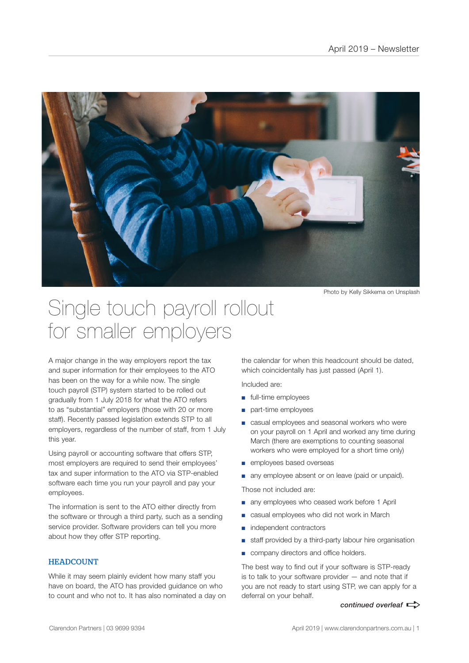

Photo by Kelly Sikkema on Unsplash

## Single touch payroll rollout for smaller employers

A major change in the way employers report the tax and super information for their employees to the ATO has been on the way for a while now. The single touch payroll (STP) system started to be rolled out gradually from 1 July 2018 for what the ATO refers to as "substantial" employers (those with 20 or more staff). Recently passed legislation extends STP to all employers, regardless of the number of staff, from 1 July this year.

Using payroll or accounting software that offers STP, most employers are required to send their employees' tax and super information to the ATO via STP-enabled software each time you run your payroll and pay your employees.

The information is sent to the ATO either directly from the software or through a third party, such as a sending service provider. Software providers can tell you more about how they offer STP reporting.

#### **HEADCOUNT**

While it may seem plainly evident how many staff you have on board, the ATO has provided guidance on who to count and who not to. It has also nominated a day on

the calendar for when this headcount should be dated, which coincidentally has just passed (April 1).

Included are:

- full-time employees
- part-time employees
- casual employees and seasonal workers who were on your payroll on 1 April and worked any time during March (there are exemptions to counting seasonal workers who were employed for a short time only)
- employees based overseas
- any employee absent or on leave (paid or unpaid).

Those not included are:

- any employees who ceased work before 1 April
- casual employees who did not work in March
- independent contractors
- staff provided by a third-party labour hire organisation
- company directors and office holders.

The best way to find out if your software is STP-ready is to talk to your software provider — and note that if you are not ready to start using STP, we can apply for a deferral on your behalf.

#### *continued overleaf*  $\Rightarrow$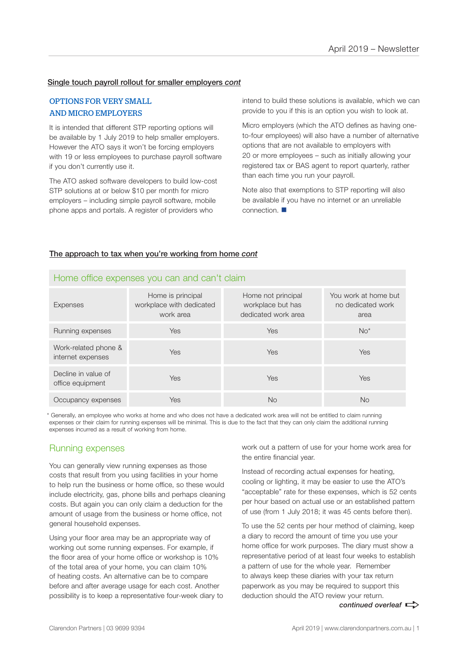#### Single touch payroll rollout for smaller employers *cont*

#### OPTIONS FOR VERY SMALL AND MICRO EMPLOYERS

It is intended that different STP reporting options will be available by 1 July 2019 to help smaller employers. However the ATO says it won't be forcing employers with 19 or less employees to purchase payroll software if you don't currently use it.

The ATO asked software developers to build low-cost STP solutions at or below \$10 per month for micro employers – including simple payroll software, mobile phone apps and portals. A register of providers who

intend to build these solutions is available, which we can provide to you if this is an option you wish to look at.

Micro employers (which the ATO defines as having oneto-four employees) will also have a number of alternative options that are not available to employers with 20 or more employees – such as initially allowing your registered tax or BAS agent to report quarterly, rather than each time you run your payroll.

Note also that exemptions to STP reporting will also be available if you have no internet or an unreliable connection.  $\blacksquare$ 

#### The approach to tax when you're working from home *cont*

| <b>Expenses</b>                           | Home is principal<br>workplace with dedicated<br>work area | Home not principal<br>workplace but has<br>dedicated work area | You work at home but<br>no dedicated work<br>area |
|-------------------------------------------|------------------------------------------------------------|----------------------------------------------------------------|---------------------------------------------------|
| Running expenses                          | <b>Yes</b>                                                 | Yes                                                            | $No*$                                             |
| Work-related phone &<br>internet expenses | <b>Yes</b>                                                 | Yes                                                            | Yes                                               |
| Decline in value of<br>office equipment   | <b>Yes</b>                                                 | Yes                                                            | Yes                                               |
| Occupancy expenses                        | Yes                                                        | No                                                             | No                                                |

#### Home office expenses you can and can't claim

\* Generally, an employee who works at home and who does not have a dedicated work area will not be entitled to claim running expenses or their claim for running expenses will be minimal. This is due to the fact that they can only claim the additional running expenses incurred as a result of working from home.

#### Running expenses

You can generally view running expenses as those costs that result from you using facilities in your home to help run the business or home office, so these would include electricity, gas, phone bills and perhaps cleaning costs. But again you can only claim a deduction for the amount of usage from the business or home office, not general household expenses.

Using your floor area may be an appropriate way of working out some running expenses. For example, if the floor area of your home office or workshop is 10% of the total area of your home, you can claim 10% of heating costs. An alternative can be to compare before and after average usage for each cost. Another possibility is to keep a representative four-week diary to work out a pattern of use for your home work area for the entire financial year.

Instead of recording actual expenses for heating, cooling or lighting, it may be easier to use the ATO's "acceptable" rate for these expenses, which is 52 cents per hour based on actual use or an established pattern of use (from 1 July 2018; it was 45 cents before then).

To use the 52 cents per hour method of claiming, keep a diary to record the amount of time you use your home office for work purposes. The diary must show a representative period of at least four weeks to establish a pattern of use for the whole year. Remember to always keep these diaries with your tax return paperwork as you may be required to support this deduction should the ATO review your return.

continued overleaf  $\Rightarrow$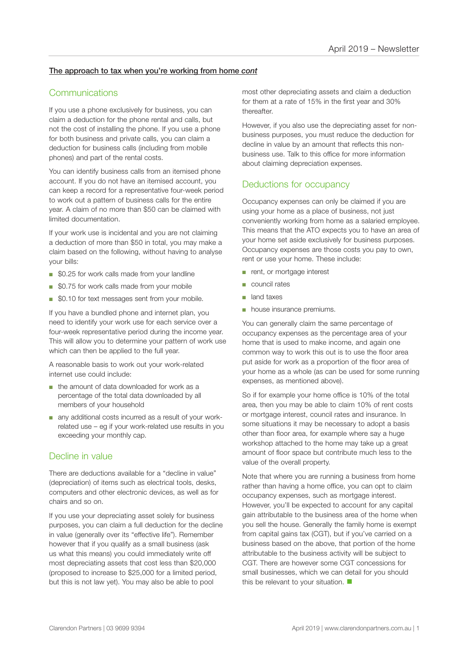#### The approach to tax when you're working from home *cont*

#### **Communications**

If you use a phone exclusively for business, you can claim a deduction for the phone rental and calls, but not the cost of installing the phone. If you use a phone for both business and private calls, you can claim a deduction for business calls (including from mobile phones) and part of the rental costs.

You can identify business calls from an itemised phone account. If you do not have an itemised account, you can keep a record for a representative four-week period to work out a pattern of business calls for the entire year. A claim of no more than \$50 can be claimed with limited documentation.

If your work use is incidental and you are not claiming a deduction of more than \$50 in total, you may make a claim based on the following, without having to analyse your bills:

- \$0.25 for work calls made from your landline
- \$0.75 for work calls made from your mobile
- \$0.10 for text messages sent from your mobile.

If you have a bundled phone and internet plan, you need to identify your work use for each service over a four-week representative period during the income year. This will allow you to determine your pattern of work use which can then be applied to the full year.

A reasonable basis to work out your work-related internet use could include:

- the amount of data downloaded for work as a percentage of the total data downloaded by all members of your household
- any additional costs incurred as a result of your workrelated use – eg if your work-related use results in you exceeding your monthly cap.

#### Decline in value

There are deductions available for a "decline in value" (depreciation) of items such as electrical tools, desks, computers and other electronic devices, as well as for chairs and so on.

If you use your depreciating asset solely for business purposes, you can claim a full deduction for the decline in value (generally over its "effective life"). Remember however that if you qualify as a small business (ask us what this means) you could immediately write off most depreciating assets that cost less than \$20,000 (proposed to increase to \$25,000 for a limited period, but this is not law yet). You may also be able to pool

most other depreciating assets and claim a deduction for them at a rate of 15% in the first year and 30% thereafter.

However, if you also use the depreciating asset for nonbusiness purposes, you must reduce the deduction for decline in value by an amount that reflects this nonbusiness use. Talk to this office for more information about claiming depreciation expenses.

#### Deductions for occupancy

Occupancy expenses can only be claimed if you are using your home as a place of business, not just conveniently working from home as a salaried employee. This means that the ATO expects you to have an area of your home set aside exclusively for business purposes. Occupancy expenses are those costs you pay to own, rent or use your home. These include:

- rent, or mortgage interest
- council rates
- land taxes
- house insurance premiums.

You can generally claim the same percentage of occupancy expenses as the percentage area of your home that is used to make income, and again one common way to work this out is to use the floor area put aside for work as a proportion of the floor area of your home as a whole (as can be used for some running expenses, as mentioned above).

So if for example your home office is 10% of the total area, then you may be able to claim 10% of rent costs or mortgage interest, council rates and insurance. In some situations it may be necessary to adopt a basis other than floor area, for example where say a huge workshop attached to the home may take up a great amount of floor space but contribute much less to the value of the overall property.

Note that where you are running a business from home rather than having a home office, you can opt to claim occupancy expenses, such as mortgage interest. However, you'll be expected to account for any capital gain attributable to the business area of the home when you sell the house. Generally the family home is exempt from capital gains tax (CGT), but if you've carried on a business based on the above, that portion of the home attributable to the business activity will be subject to CGT. There are however some CGT concessions for small businesses, which we can detail for you should this be relevant to your situation.  $\blacksquare$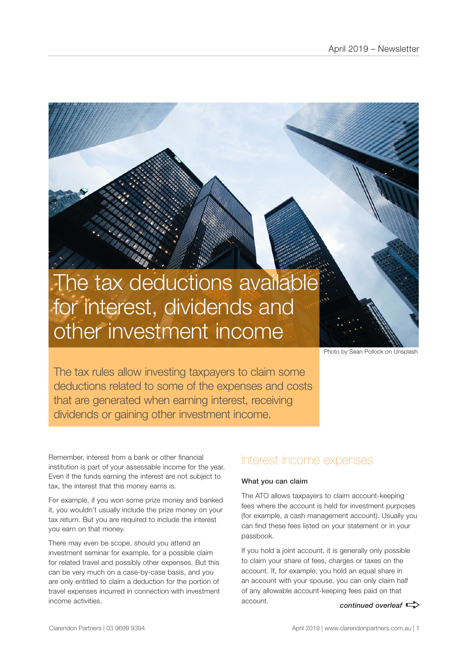# The tax deductions available for interest, dividends and other investment income

Photo by Sean Pollock on Unsplash

The tax rules allow investing taxpayers to claim some deductions related to some of the expenses and costs that are generated when earning interest, receiving dividends or gaining other investment income.

Remember, interest from a bank or other financial institution is part of your assessable income for the year. Even if the funds earning the interest are not subject to tax, the interest that this money earns is.

For example, if you won some prize money and banked it, you wouldn't usually include the prize money on your tax return. But you are required to include the interest you earn on that money.

There may even be scope, should you attend an investment seminar for example, for a possible claim for related travel and possibly other expenses. But this can be very much on a case-by-case basis, and you are only entitled to claim a deduction for the portion of travel expenses incurred in connection with investment income activities.

### Interest income expenses

#### What you can claim

The ATO allows taxpayers to claim account-keeping fees where the account is held for investment purposes (for example, a cash management account). Usually you can find these fees listed on your statement or in your passbook.

*continued overleaf*  $\Rightarrow$ If you hold a joint account, it is generally only possible to claim your share of fees, charges or taxes on the account. If, for example, you hold an equal share in an account with your spouse, you can only claim half of any allowable account-keeping fees paid on that account.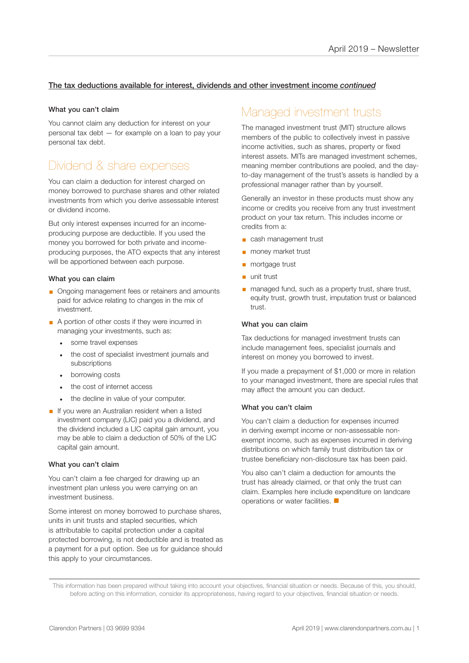#### The tax deductions available for interest, dividends and other investment income *continued*

#### What you can't claim

You cannot claim any deduction for interest on your personal tax debt — for example on a loan to pay your personal tax debt.

## Dividend & share expenses

You can claim a deduction for interest charged on money borrowed to purchase shares and other related investments from which you derive assessable interest or dividend income.

But only interest expenses incurred for an incomeproducing purpose are deductible. If you used the money you borrowed for both private and incomeproducing purposes, the ATO expects that any interest will be apportioned between each purpose.

#### What you can claim

- Ongoing management fees or retainers and amounts paid for advice relating to changes in the mix of investment.
- A portion of other costs if they were incurred in managing your investments, such as:
	- some travel expenses
	- the cost of specialist investment journals and subscriptions
	- borrowing costs
	- the cost of internet access
	- the decline in value of your computer.
- **•** If you were an Australian resident when a listed investment company (LIC) paid you a dividend, and the dividend included a LIC capital gain amount, you may be able to claim a deduction of 50% of the LIC capital gain amount.

#### What you can't claim

You can't claim a fee charged for drawing up an investment plan unless you were carrying on an investment business.

Some interest on money borrowed to purchase shares, units in unit trusts and stapled securities, which is attributable to capital protection under a capital protected borrowing, is not deductible and is treated as a payment for a put option. See us for guidance should this apply to your circumstances.

## Managed investment trusts

The managed investment trust (MIT) structure allows members of the public to collectively invest in passive income activities, such as shares, property or fixed interest assets. MITs are managed investment schemes, meaning member contributions are pooled, and the dayto-day management of the trust's assets is handled by a professional manager rather than by yourself.

Generally an investor in these products must show any income or credits you receive from any trust investment product on your tax return. This includes income or credits from a:

- cash management trust
- money market trust
- mortgage trust
- unit trust
- managed fund, such as a property trust, share trust, equity trust, growth trust, imputation trust or balanced trust.

#### What you can claim

Tax deductions for managed investment trusts can include management fees, specialist journals and interest on money you borrowed to invest.

If you made a prepayment of \$1,000 or more in relation to your managed investment, there are special rules that may affect the amount you can deduct.

#### What you can't claim

You can't claim a deduction for expenses incurred in deriving exempt income or non-assessable nonexempt income, such as expenses incurred in deriving distributions on which family trust distribution tax or trustee beneficiary non-disclosure tax has been paid.

You also can't claim a deduction for amounts the trust has already claimed, or that only the trust can claim. Examples here include expenditure on landcare operations or water facilities.  $\blacksquare$ 

This information has been prepared without taking into account your objectives, financial situation or needs. Because of this, you should, before acting on this information, consider its appropriateness, having regard to your objectives, financial situation or needs.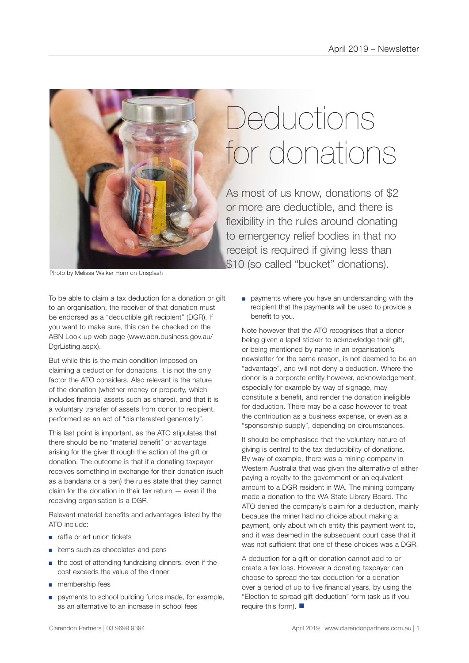

# **Deductions** for donations

As most of us know, donations of \$2 or more are deductible, and there is flexibility in the rules around donating to emergency relief bodies in that no receipt is required if giving less than \$10 (so called "bucket" donations).

Photo by Melissa Walker Horn on Unsplash

To be able to claim a tax deduction for a donation or gift to an organisation, the receiver of that donation must be endorsed as a "deductible gift recipient" (DGR). If you want to make sure, this can be checked on the ABN Look-up web page (www.abn.business.gov.au/ DgrListing.aspx).

But while this is the main condition imposed on claiming a deduction for donations, it is not the only factor the ATO considers. Also relevant is the nature of the donation (whether money or property, which includes financial assets such as shares), and that it is a voluntary transfer of assets from donor to recipient, performed as an act of "disinterested generosity".

This last point is important, as the ATO stipulates that there should be no "material benefit" or advantage arising for the giver through the action of the gift or donation. The outcome is that if a donating taxpayer receives something in exchange for their donation (such as a bandana or a pen) the rules state that they cannot claim for the donation in their tax return — even if the receiving organisation is a DGR.

Relevant material benefits and advantages listed by the ATO include:

- raffle or art union tickets
- items such as chocolates and pens
- the cost of attending fundraising dinners, even if the cost exceeds the value of the dinner
- membership fees
- payments to school building funds made, for example, as an alternative to an increase in school fees

■ payments where you have an understanding with the recipient that the payments will be used to provide a benefit to you.

Note however that the ATO recognises that a donor being given a lapel sticker to acknowledge their gift, or being mentioned by name in an organisation's newsletter for the same reason, is not deemed to be an "advantage", and will not deny a deduction. Where the donor is a corporate entity however, acknowledgement, especially for example by way of signage, may constitute a benefit, and render the donation ineligible for deduction. There may be a case however to treat the contribution as a business expense, or even as a "sponsorship supply", depending on circumstances.

It should be emphasised that the voluntary nature of giving is central to the tax deductibility of donations. By way of example, there was a mining company in Western Australia that was given the alternative of either paying a royalty to the government or an equivalent amount to a DGR resident in WA. The mining company made a donation to the WA State Library Board. The ATO denied the company's claim for a deduction, mainly because the miner had no choice about making a payment, only about which entity this payment went to, and it was deemed in the subsequent court case that it was not sufficient that one of these choices was a DGR.

A deduction for a gift or donation cannot add to or create a tax loss. However a donating taxpayer can choose to spread the tax deduction for a donation over a period of up to five financial years, by using the "Election to spread gift deduction" form (ask us if you require this form).  $\blacksquare$